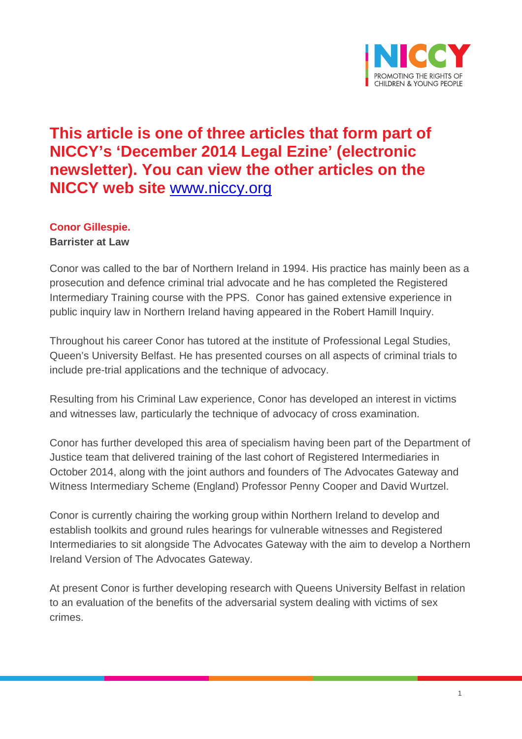

## **This article is one of three articles that form part of NICCY's 'December 2014 Legal Ezine' (electronic newsletter). You can view the other articles on the NICCY web site** [www.niccy.org](http://www.niccy.org/)

### **Conor Gillespie.**

**Barrister at Law**

Conor was called to the bar of Northern Ireland in 1994. His practice has mainly been as a prosecution and defence criminal trial advocate and he has completed the Registered Intermediary Training course with the PPS. Conor has gained extensive experience in public inquiry law in Northern Ireland having appeared in the Robert Hamill Inquiry.

Throughout his career Conor has tutored at the institute of Professional Legal Studies, Queen's University Belfast. He has presented courses on all aspects of criminal trials to include pre-trial applications and the technique of advocacy.

Resulting from his Criminal Law experience, Conor has developed an interest in victims and witnesses law, particularly the technique of advocacy of cross examination.

Conor has further developed this area of specialism having been part of the Department of Justice team that delivered training of the last cohort of Registered Intermediaries in October 2014, along with the joint authors and founders of The Advocates Gateway and Witness Intermediary Scheme (England) Professor Penny Cooper and David Wurtzel.

Conor is currently chairing the working group within Northern Ireland to develop and establish toolkits and ground rules hearings for vulnerable witnesses and Registered Intermediaries to sit alongside The Advocates Gateway with the aim to develop a Northern Ireland Version of The Advocates Gateway.

At present Conor is further developing research with Queens University Belfast in relation to an evaluation of the benefits of the adversarial system dealing with victims of sex crimes.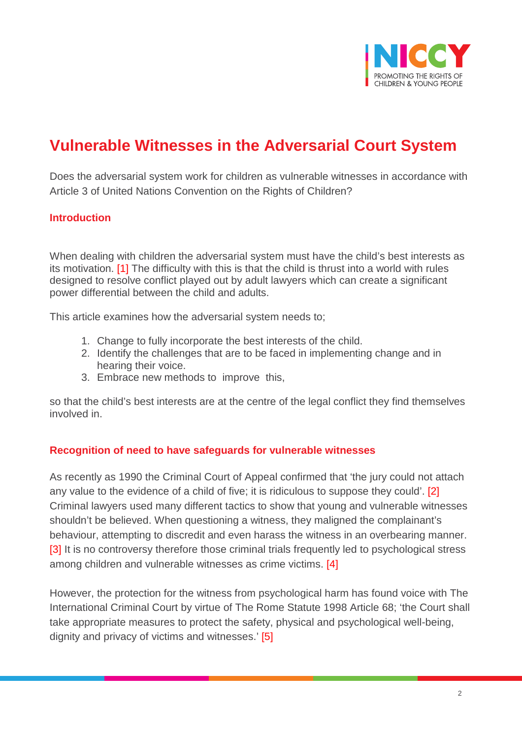

# **Vulnerable Witnesses in the Adversarial Court System**

Does the adversarial system work for children as vulnerable witnesses in accordance with Article 3 of United Nations Convention on the Rights of Children?

#### **Introduction**

When dealing with children the adversarial system must have the child's best interests as its motivation. [1] The difficulty with this is that the child is thrust into a world with rules designed to resolve conflict played out by adult lawyers which can create a significant power differential between the child and adults.

This article examines how the adversarial system needs to;

- 1. Change to fully incorporate the best interests of the child.
- 2. Identify the challenges that are to be faced in implementing change and in hearing their voice.
- 3. Embrace new methods to improve this,

so that the child's best interests are at the centre of the legal conflict they find themselves involved in.

#### **Recognition of need to have safeguards for vulnerable witnesses**

As recently as 1990 the Criminal Court of Appeal confirmed that 'the jury could not attach any value to the evidence of a child of five; it is ridiculous to suppose they could'. [2] Criminal lawyers used many different tactics to show that young and vulnerable witnesses shouldn't be believed. When questioning a witness, they maligned the complainant's behaviour, attempting to discredit and even harass the witness in an overbearing manner. [3] It is no controversy therefore those criminal trials frequently led to psychological stress among children and vulnerable witnesses as crime victims. [4]

However, the protection for the witness from psychological harm has found voice with The International Criminal Court by virtue of The Rome Statute 1998 Article 68; 'the Court shall take appropriate measures to protect the safety, physical and psychological well-being, dignity and privacy of victims and witnesses.' [5]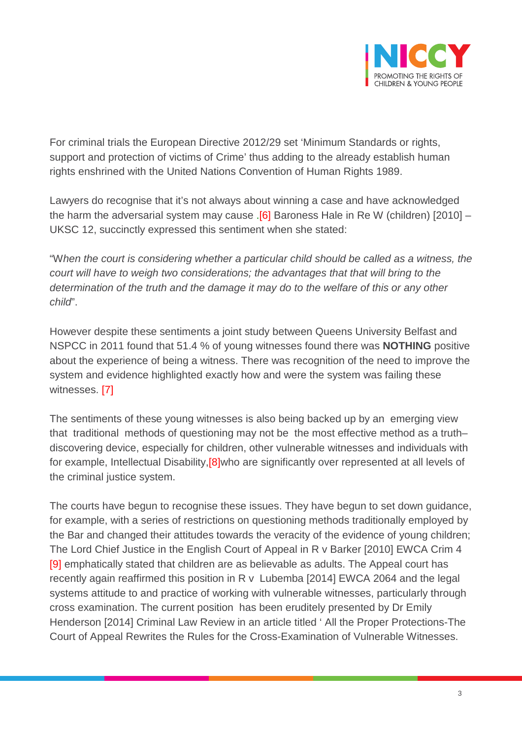

For criminal trials the European Directive 2012/29 set 'Minimum Standards or rights, support and protection of victims of Crime' thus adding to the already establish human rights enshrined with the United Nations Convention of Human Rights 1989.

Lawyers do recognise that it's not always about winning a case and have acknowledged the harm the adversarial system may cause  $.6$ ] Baroness Hale in Re W (children) [2010] – UKSC 12, succinctly expressed this sentiment when she stated:

"W*hen the court is considering whether a particular child should be called as a witness, the court will have to weigh two considerations; the advantages that that will bring to the determination of the truth and the damage it may do to the welfare of this or any other child*".

However despite these sentiments a joint study between Queens University Belfast and NSPCC in 2011 found that 51.4 % of young witnesses found there was **NOTHING** positive about the experience of being a witness. There was recognition of the need to improve the system and evidence highlighted exactly how and were the system was failing these witnesses. [7]

The sentiments of these young witnesses is also being backed up by an emerging view that traditional methods of questioning may not be the most effective method as a truth– discovering device, especially for children, other vulnerable witnesses and individuals with for example, Intellectual Disability,[8]who are significantly over represented at all levels of the criminal justice system.

The courts have begun to recognise these issues. They have begun to set down guidance, for example, with a series of restrictions on questioning methods traditionally employed by the Bar and changed their attitudes towards the veracity of the evidence of young children; The Lord Chief Justice in the English Court of Appeal in R v Barker [2010] EWCA Crim 4 [9] emphatically stated that children are as believable as adults. The Appeal court has recently again reaffirmed this position in R v Lubemba [2014] EWCA 2064 and the legal systems attitude to and practice of working with vulnerable witnesses, particularly through cross examination. The current position has been eruditely presented by Dr Emily Henderson [2014] Criminal Law Review in an article titled ' All the Proper Protections-The Court of Appeal Rewrites the Rules for the Cross-Examination of Vulnerable Witnesses.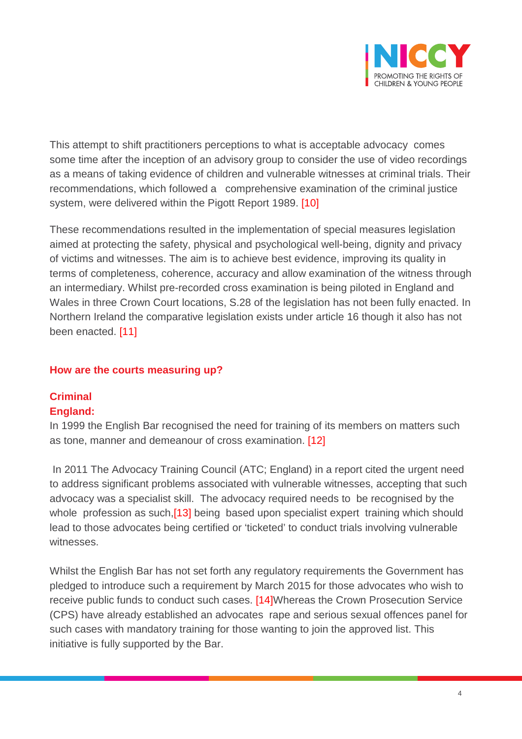

This attempt to shift practitioners perceptions to what is acceptable advocacy comes some time after the inception of an advisory group to consider the use of video recordings as a means of taking evidence of children and vulnerable witnesses at criminal trials. Their recommendations, which followed a comprehensive examination of the criminal justice system, were delivered within the Pigott Report 1989. [10]

These recommendations resulted in the implementation of special measures legislation aimed at protecting the safety, physical and psychological well-being, dignity and privacy of victims and witnesses. The aim is to achieve best evidence, improving its quality in terms of completeness, coherence, accuracy and allow examination of the witness through an intermediary. Whilst pre-recorded cross examination is being piloted in England and Wales in three Crown Court locations, S.28 of the legislation has not been fully enacted. In Northern Ireland the comparative legislation exists under article 16 though it also has not been enacted. [11]

#### **How are the courts measuring up?**

#### **Criminal England:**

In 1999 the English Bar recognised the need for training of its members on matters such as tone, manner and demeanour of cross examination. [12]

In 2011 The Advocacy Training Council (ATC; England) in a report cited the urgent need to address significant problems associated with vulnerable witnesses, accepting that such advocacy was a specialist skill. The advocacy required needs to be recognised by the whole profession as such,<sup>[13]</sup> being based upon specialist expert training which should lead to those advocates being certified or 'ticketed' to conduct trials involving vulnerable witnesses.

Whilst the English Bar has not set forth any regulatory requirements the Government has pledged to introduce such a requirement by March 2015 for those advocates who wish to receive public funds to conduct such cases. [14]Whereas the Crown Prosecution Service (CPS) have already established an advocates rape and serious sexual offences panel for such cases with mandatory training for those wanting to join the approved list. This initiative is fully supported by the Bar.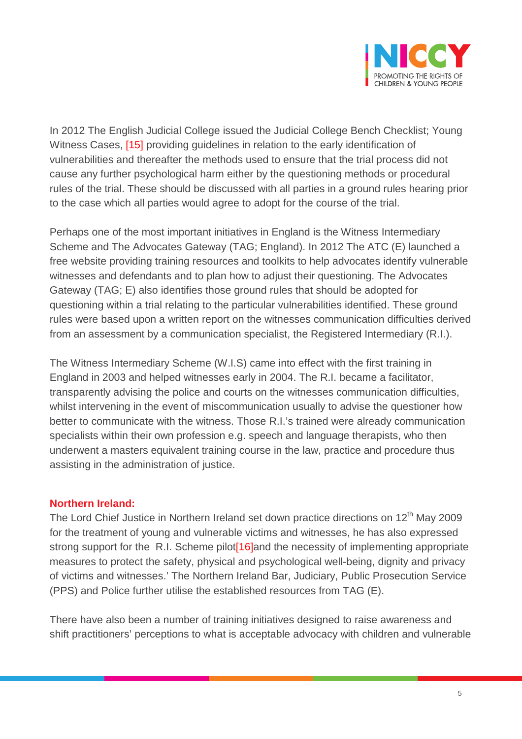

In 2012 The English Judicial College issued the Judicial College Bench Checklist; Young Witness Cases, <a>[15]</a> providing quidelines in relation to the early identification of vulnerabilities and thereafter the methods used to ensure that the trial process did not cause any further psychological harm either by the questioning methods or procedural rules of the trial. These should be discussed with all parties in a ground rules hearing prior to the case which all parties would agree to adopt for the course of the trial.

Perhaps one of the most important initiatives in England is the Witness Intermediary Scheme and The Advocates Gateway (TAG; England). In 2012 The ATC (E) launched a free website providing training resources and toolkits to help advocates identify vulnerable witnesses and defendants and to plan how to adjust their questioning. The Advocates Gateway (TAG; E) also identifies those ground rules that should be adopted for questioning within a trial relating to the particular vulnerabilities identified. These ground rules were based upon a written report on the witnesses communication difficulties derived from an assessment by a communication specialist, the Registered Intermediary (R.I.).

The Witness Intermediary Scheme (W.I.S) came into effect with the first training in England in 2003 and helped witnesses early in 2004. The R.I. became a facilitator, transparently advising the police and courts on the witnesses communication difficulties, whilst intervening in the event of miscommunication usually to advise the questioner how better to communicate with the witness. Those R.I.'s trained were already communication specialists within their own profession e.g. speech and language therapists, who then underwent a masters equivalent training course in the law, practice and procedure thus assisting in the administration of justice.

#### **Northern Ireland:**

The Lord Chief Justice in Northern Ireland set down practice directions on  $12<sup>th</sup>$  May 2009 for the treatment of young and vulnerable victims and witnesses, he has also expressed strong support for the R.I. Scheme pilot [16] and the necessity of implementing appropriate measures to protect the safety, physical and psychological well-being, dignity and privacy of victims and witnesses.' The Northern Ireland Bar, Judiciary, Public Prosecution Service (PPS) and Police further utilise the established resources from TAG (E).

There have also been a number of training initiatives designed to raise awareness and shift practitioners' perceptions to what is acceptable advocacy with children and vulnerable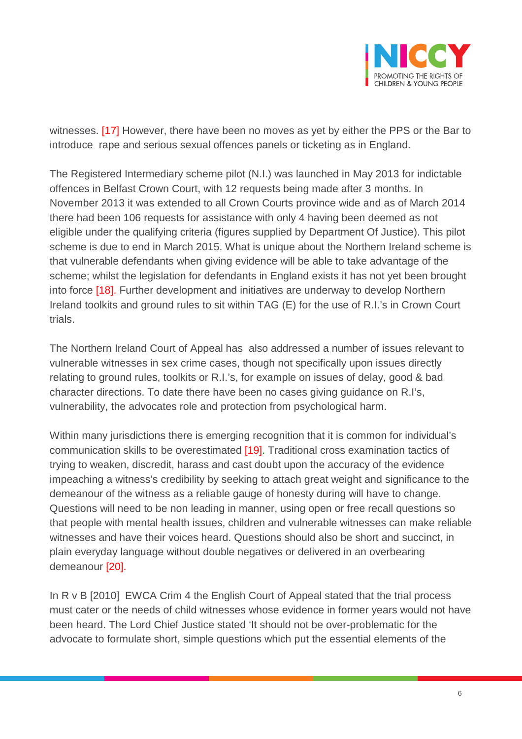

witnesses. [17] However, there have been no moves as yet by either the PPS or the Bar to introduce rape and serious sexual offences panels or ticketing as in England.

The Registered Intermediary scheme pilot (N.I.) was launched in May 2013 for indictable offences in Belfast Crown Court, with 12 requests being made after 3 months. In November 2013 it was extended to all Crown Courts province wide and as of March 2014 there had been 106 requests for assistance with only 4 having been deemed as not eligible under the qualifying criteria (figures supplied by Department Of Justice). This pilot scheme is due to end in March 2015. What is unique about the Northern Ireland scheme is that vulnerable defendants when giving evidence will be able to take advantage of the scheme; whilst the legislation for defendants in England exists it has not yet been brought into force [18]. Further development and initiatives are underway to develop Northern Ireland toolkits and ground rules to sit within TAG (E) for the use of R.I.'s in Crown Court trials.

The Northern Ireland Court of Appeal has also addressed a number of issues relevant to vulnerable witnesses in sex crime cases, though not specifically upon issues directly relating to ground rules, toolkits or R.I.'s, for example on issues of delay, good & bad character directions. To date there have been no cases giving guidance on R.I's, vulnerability, the advocates role and protection from psychological harm.

Within many jurisdictions there is emerging recognition that it is common for individual's communication skills to be overestimated [19]. Traditional cross examination tactics of trying to weaken, discredit, harass and cast doubt upon the accuracy of the evidence impeaching a witness's credibility by seeking to attach great weight and significance to the demeanour of the witness as a reliable gauge of honesty during will have to change. Questions will need to be non leading in manner, using open or free recall questions so that people with mental health issues, children and vulnerable witnesses can make reliable witnesses and have their voices heard. Questions should also be short and succinct, in plain everyday language without double negatives or delivered in an overbearing demeanour [20].

In R v B [2010] EWCA Crim 4 the English Court of Appeal stated that the trial process must cater or the needs of child witnesses whose evidence in former years would not have been heard. The Lord Chief Justice stated 'It should not be over-problematic for the advocate to formulate short, simple questions which put the essential elements of the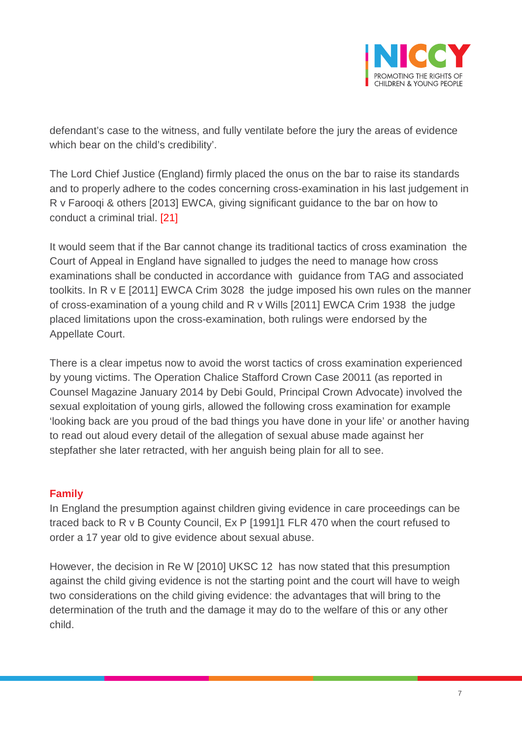

defendant's case to the witness, and fully ventilate before the jury the areas of evidence which bear on the child's credibility'.

The Lord Chief Justice (England) firmly placed the onus on the bar to raise its standards and to properly adhere to the codes concerning cross-examination in his last judgement in R v Farooqi & others [2013] EWCA, giving significant guidance to the bar on how to conduct a criminal trial. [21]

It would seem that if the Bar cannot change its traditional tactics of cross examination the Court of Appeal in England have signalled to judges the need to manage how cross examinations shall be conducted in accordance with guidance from TAG and associated toolkits. In R v E [2011] EWCA Crim 3028 the judge imposed his own rules on the manner of cross-examination of a young child and R v Wills [2011] EWCA Crim 1938 the judge placed limitations upon the cross-examination, both rulings were endorsed by the Appellate Court.

There is a clear impetus now to avoid the worst tactics of cross examination experienced by young victims. The Operation Chalice Stafford Crown Case 20011 (as reported in Counsel Magazine January 2014 by Debi Gould, Principal Crown Advocate) involved the sexual exploitation of young girls, allowed the following cross examination for example 'looking back are you proud of the bad things you have done in your life' or another having to read out aloud every detail of the allegation of sexual abuse made against her stepfather she later retracted, with her anguish being plain for all to see.

#### **Family**

In England the presumption against children giving evidence in care proceedings can be traced back to R v B County Council, Ex P [1991]1 FLR 470 when the court refused to order a 17 year old to give evidence about sexual abuse.

However, the decision in Re W [2010] UKSC 12 has now stated that this presumption against the child giving evidence is not the starting point and the court will have to weigh two considerations on the child giving evidence: the advantages that will bring to the determination of the truth and the damage it may do to the welfare of this or any other child.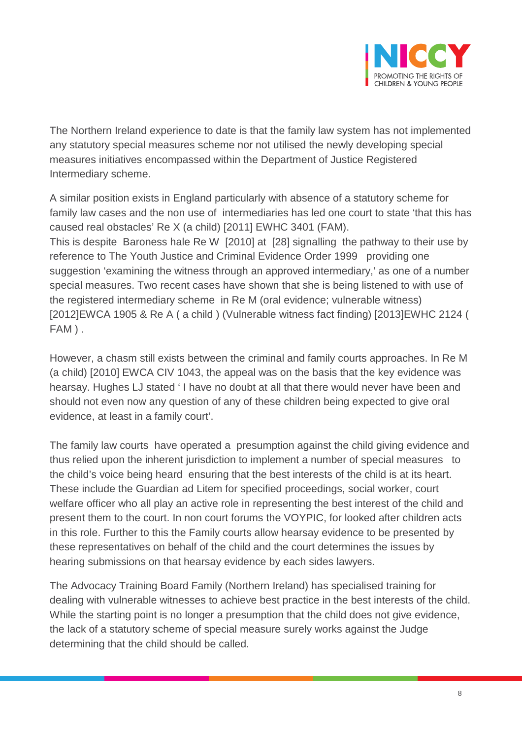

The Northern Ireland experience to date is that the family law system has not implemented any statutory special measures scheme nor not utilised the newly developing special measures initiatives encompassed within the Department of Justice Registered Intermediary scheme.

A similar position exists in England particularly with absence of a statutory scheme for family law cases and the non use of intermediaries has led one court to state 'that this has caused real obstacles' Re X (a child) [2011] EWHC 3401 (FAM). This is despite Baroness hale Re W [2010] at [28] signalling the pathway to their use by reference to The Youth Justice and Criminal Evidence Order 1999 providing one suggestion 'examining the witness through an approved intermediary,' as one of a number special measures. Two recent cases have shown that she is being listened to with use of the registered intermediary scheme in Re M (oral evidence; vulnerable witness) [2012]EWCA 1905 & Re A ( a child ) (Vulnerable witness fact finding) [2013]EWHC 2124 ( FAM ) .

However, a chasm still exists between the criminal and family courts approaches. In Re M (a child) [2010] EWCA CIV 1043, the appeal was on the basis that the key evidence was hearsay. Hughes LJ stated ' I have no doubt at all that there would never have been and should not even now any question of any of these children being expected to give oral evidence, at least in a family court'.

The family law courts have operated a presumption against the child giving evidence and thus relied upon the inherent jurisdiction to implement a number of special measures to the child's voice being heard ensuring that the best interests of the child is at its heart. These include the Guardian ad Litem for specified proceedings, social worker, court welfare officer who all play an active role in representing the best interest of the child and present them to the court. In non court forums the VOYPIC, for looked after children acts in this role. Further to this the Family courts allow hearsay evidence to be presented by these representatives on behalf of the child and the court determines the issues by hearing submissions on that hearsay evidence by each sides lawyers.

The Advocacy Training Board Family (Northern Ireland) has specialised training for dealing with vulnerable witnesses to achieve best practice in the best interests of the child. While the starting point is no longer a presumption that the child does not give evidence, the lack of a statutory scheme of special measure surely works against the Judge determining that the child should be called.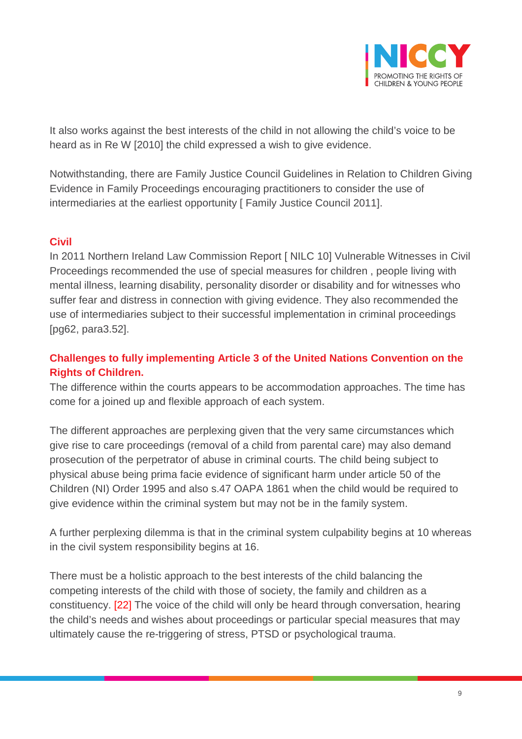

It also works against the best interests of the child in not allowing the child's voice to be heard as in Re W [2010] the child expressed a wish to give evidence.

Notwithstanding, there are Family Justice Council Guidelines in Relation to Children Giving Evidence in Family Proceedings encouraging practitioners to consider the use of intermediaries at the earliest opportunity [ Family Justice Council 2011].

#### **Civil**

In 2011 Northern Ireland Law Commission Report [ NILC 10] Vulnerable Witnesses in Civil Proceedings recommended the use of special measures for children , people living with mental illness, learning disability, personality disorder or disability and for witnesses who suffer fear and distress in connection with giving evidence. They also recommended the use of intermediaries subject to their successful implementation in criminal proceedings [pg62, para3.52].

### **Challenges to fully implementing Article 3 of the United Nations Convention on the Rights of Children.**

The difference within the courts appears to be accommodation approaches. The time has come for a joined up and flexible approach of each system.

The different approaches are perplexing given that the very same circumstances which give rise to care proceedings (removal of a child from parental care) may also demand prosecution of the perpetrator of abuse in criminal courts. The child being subject to physical abuse being prima facie evidence of significant harm under article 50 of the Children (NI) Order 1995 and also s.47 OAPA 1861 when the child would be required to give evidence within the criminal system but may not be in the family system.

A further perplexing dilemma is that in the criminal system culpability begins at 10 whereas in the civil system responsibility begins at 16.

There must be a holistic approach to the best interests of the child balancing the competing interests of the child with those of society, the family and children as a constituency. [22] The voice of the child will only be heard through conversation, hearing the child's needs and wishes about proceedings or particular special measures that may ultimately cause the re-triggering of stress, PTSD or psychological trauma.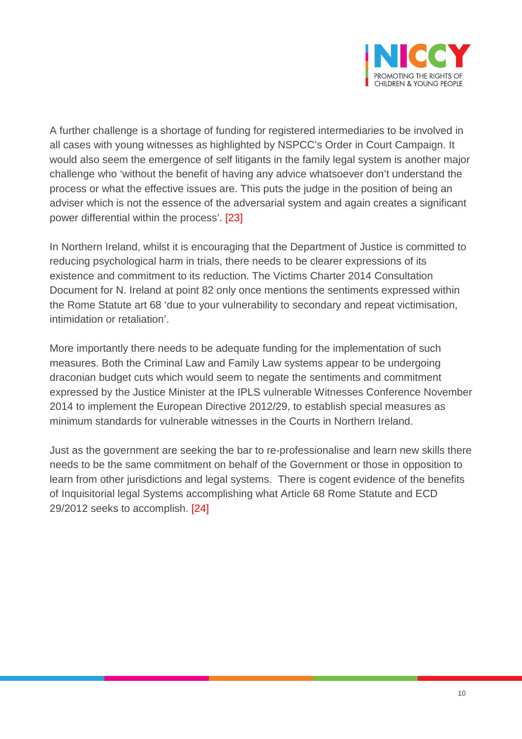

A further challenge is a shortage of funding for registered intermediaries to be involved in all cases with young witnesses as highlighted by NSPCC's Order in Court Campaign. It would also seem the emergence of self litigants in the family legal system is another major challenge who 'without the benefit of having any advice whatsoever don't understand the process or what the effective issues are. This puts the judge in the position of being an adviser which is not the essence of the adversarial system and again creates a significant power differential within the process'. [23]

In Northern Ireland, whilst it is encouraging that the Department of Justice is committed to reducing psychological harm in trials, there needs to be clearer expressions of its existence and commitment to its reduction. The Victims Charter 2014 Consultation Document for N. Ireland at point 82 only once mentions the sentiments expressed within the Rome Statute art 68 'due to your vulnerability to secondary and repeat victimisation, intimidation or retaliation'.

More importantly there needs to be adequate funding for the implementation of such measures. Both the Criminal Law and Family Law systems appear to be undergoing draconian budget cuts which would seem to negate the sentiments and commitment expressed by the Justice Minister at the IPLS vulnerable Witnesses Conference November 2014 to implement the European Directive 2012/29, to establish special measures as minimum standards for vulnerable witnesses in the Courts in Northern Ireland.

Just as the government are seeking the bar to re-professionalise and learn new skills there needs to be the same commitment on behalf of the Government or those in opposition to learn from other jurisdictions and legal systems. There is cogent evidence of the benefits of Inquisitorial legal Systems accomplishing what Article 68 Rome Statute and ECD 29/2012 seeks to accomplish. [24]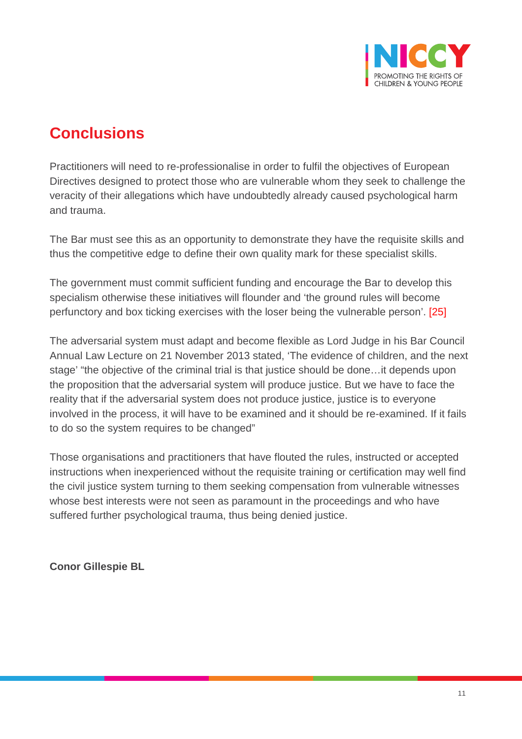

# **Conclusions**

Practitioners will need to re-professionalise in order to fulfil the objectives of European Directives designed to protect those who are vulnerable whom they seek to challenge the veracity of their allegations which have undoubtedly already caused psychological harm and trauma.

The Bar must see this as an opportunity to demonstrate they have the requisite skills and thus the competitive edge to define their own quality mark for these specialist skills.

The government must commit sufficient funding and encourage the Bar to develop this specialism otherwise these initiatives will flounder and 'the ground rules will become perfunctory and box ticking exercises with the loser being the vulnerable person'. [25]

The adversarial system must adapt and become flexible as Lord Judge in his Bar Council Annual Law Lecture on 21 November 2013 stated, 'The evidence of children, and the next stage' "the objective of the criminal trial is that justice should be done…it depends upon the proposition that the adversarial system will produce justice. But we have to face the reality that if the adversarial system does not produce justice, justice is to everyone involved in the process, it will have to be examined and it should be re-examined. If it fails to do so the system requires to be changed"

Those organisations and practitioners that have flouted the rules, instructed or accepted instructions when inexperienced without the requisite training or certification may well find the civil justice system turning to them seeking compensation from vulnerable witnesses whose best interests were not seen as paramount in the proceedings and who have suffered further psychological trauma, thus being denied justice.

**Conor Gillespie BL**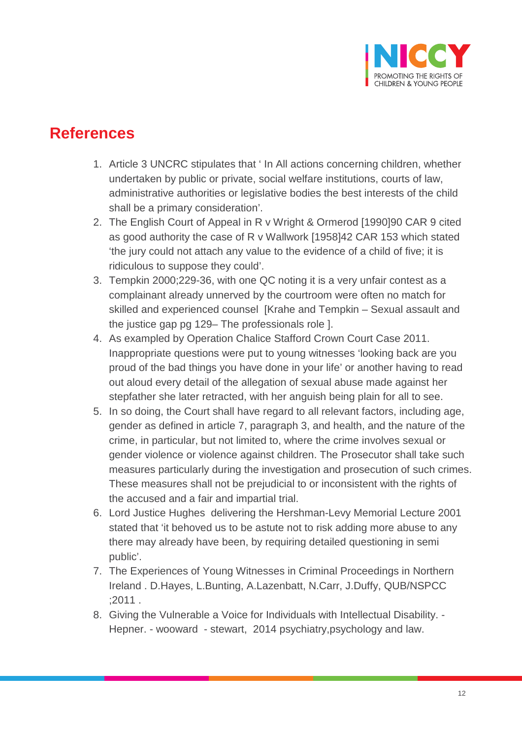

### **References**

- 1. Article 3 UNCRC stipulates that ' In All actions concerning children, whether undertaken by public or private, social welfare institutions, courts of law, administrative authorities or legislative bodies the best interests of the child shall be a primary consideration'.
- 2. The English Court of Appeal in R v Wright & Ormerod [1990]90 CAR 9 cited as good authority the case of R v Wallwork [1958]42 CAR 153 which stated 'the jury could not attach any value to the evidence of a child of five; it is ridiculous to suppose they could'.
- 3. Tempkin 2000;229-36, with one QC noting it is a very unfair contest as a complainant already unnerved by the courtroom were often no match for skilled and experienced counsel [Krahe and Tempkin – Sexual assault and the justice gap pg 129– The professionals role ].
- 4. As exampled by Operation Chalice Stafford Crown Court Case 2011. Inappropriate questions were put to young witnesses 'looking back are you proud of the bad things you have done in your life' or another having to read out aloud every detail of the allegation of sexual abuse made against her stepfather she later retracted, with her anguish being plain for all to see.
- 5. In so doing, the Court shall have regard to all relevant factors, including age, gender as defined in article 7, paragraph 3, and health, and the nature of the crime, in particular, but not limited to, where the crime involves sexual or gender violence or violence against children. The Prosecutor shall take such measures particularly during the investigation and prosecution of such crimes. These measures shall not be prejudicial to or inconsistent with the rights of the accused and a fair and impartial trial.
- 6. Lord Justice Hughes delivering the Hershman-Levy Memorial Lecture 2001 stated that 'it behoved us to be astute not to risk adding more abuse to any there may already have been, by requiring detailed questioning in semi public'.
- 7. The Experiences of Young Witnesses in Criminal Proceedings in Northern Ireland . D.Hayes, L.Bunting, A.Lazenbatt, N.Carr, J.Duffy, QUB/NSPCC ;2011 .
- 8. Giving the Vulnerable a Voice for Individuals with Intellectual Disability. Hepner. - wooward - stewart, 2014 psychiatry,psychology and law.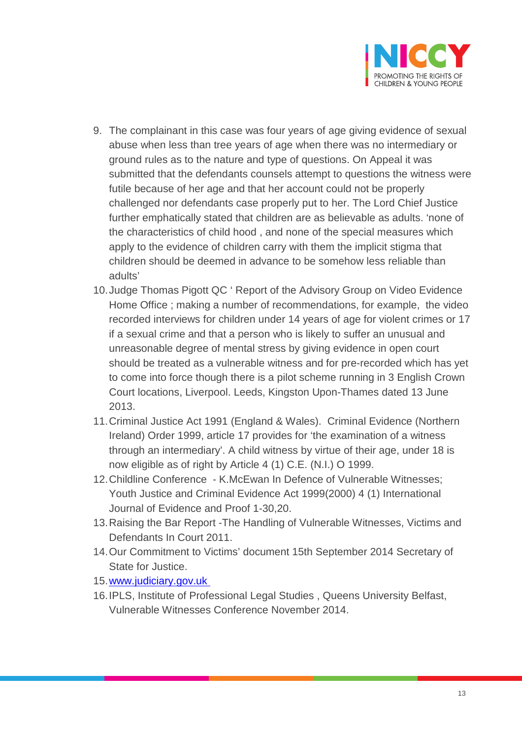

- 9. The complainant in this case was four years of age giving evidence of sexual abuse when less than tree years of age when there was no intermediary or ground rules as to the nature and type of questions. On Appeal it was submitted that the defendants counsels attempt to questions the witness were futile because of her age and that her account could not be properly challenged nor defendants case properly put to her. The Lord Chief Justice further emphatically stated that children are as believable as adults. 'none of the characteristics of child hood , and none of the special measures which apply to the evidence of children carry with them the implicit stigma that children should be deemed in advance to be somehow less reliable than adults'
- 10.Judge Thomas Pigott QC ' Report of the Advisory Group on Video Evidence Home Office ; making a number of recommendations, for example, the video recorded interviews for children under 14 years of age for violent crimes or 17 if a sexual crime and that a person who is likely to suffer an unusual and unreasonable degree of mental stress by giving evidence in open court should be treated as a vulnerable witness and for pre-recorded which has yet to come into force though there is a pilot scheme running in 3 English Crown Court locations, Liverpool. Leeds, Kingston Upon-Thames dated 13 June 2013.
- 11.Criminal Justice Act 1991 (England & Wales). Criminal Evidence (Northern Ireland) Order 1999, article 17 provides for 'the examination of a witness through an intermediary'. A child witness by virtue of their age, under 18 is now eligible as of right by Article 4 (1) C.E. (N.I.) O 1999.
- 12.Childline Conference K.McEwan In Defence of Vulnerable Witnesses; Youth Justice and Criminal Evidence Act 1999(2000) 4 (1) International Journal of Evidence and Proof 1-30,20.
- 13.Raising the Bar Report -The Handling of Vulnerable Witnesses, Victims and Defendants In Court 2011.
- 14.Our Commitment to Victims' document 15th September 2014 Secretary of State for Justice.
- 15.www.judiciary.gov.uk
- 16.IPLS, Institute of Professional Legal Studies , Queens University Belfast, Vulnerable Witnesses Conference November 2014.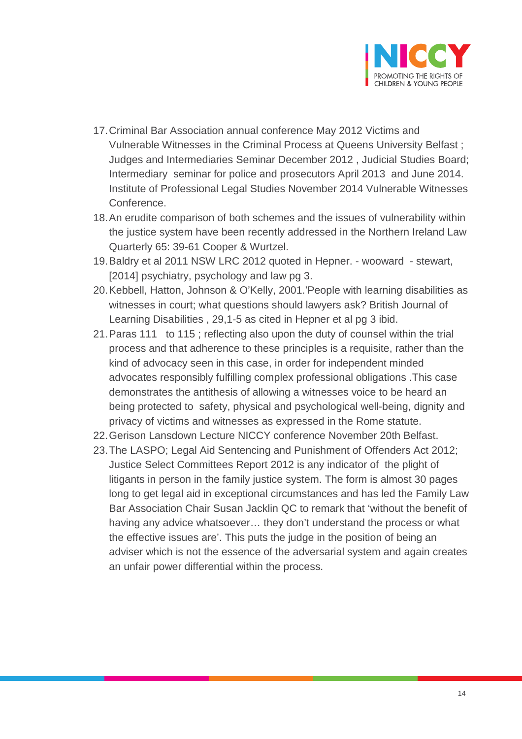

- 17.Criminal Bar Association annual conference May 2012 Victims and Vulnerable Witnesses in the Criminal Process at Queens University Belfast ; Judges and Intermediaries Seminar December 2012 , Judicial Studies Board; Intermediary seminar for police and prosecutors April 2013 and June 2014. Institute of Professional Legal Studies November 2014 Vulnerable Witnesses Conference.
- 18.An erudite comparison of both schemes and the issues of vulnerability within the justice system have been recently addressed in the Northern Ireland Law Quarterly 65: 39-61 Cooper & Wurtzel.
- 19.Baldry et al 2011 NSW LRC 2012 quoted in Hepner. wooward stewart, [2014] psychiatry, psychology and law pg 3.
- 20.Kebbell, Hatton, Johnson & O'Kelly, 2001.'People with learning disabilities as witnesses in court; what questions should lawyers ask? British Journal of Learning Disabilities , 29,1-5 as cited in Hepner et al pg 3 ibid.
- 21.Paras 111 to 115 ; reflecting also upon the duty of counsel within the trial process and that adherence to these principles is a requisite, rather than the kind of advocacy seen in this case, in order for independent minded advocates responsibly fulfilling complex professional obligations .This case demonstrates the antithesis of allowing a witnesses voice to be heard an being protected to safety, physical and psychological well-being, dignity and privacy of victims and witnesses as expressed in the Rome statute.
- 22.Gerison Lansdown Lecture NICCY conference November 20th Belfast.
- 23.The LASPO; Legal Aid Sentencing and Punishment of Offenders Act 2012; Justice Select Committees Report 2012 is any indicator of the plight of litigants in person in the family justice system. The form is almost 30 pages long to get legal aid in exceptional circumstances and has led the Family Law Bar Association Chair Susan Jacklin QC to remark that 'without the benefit of having any advice whatsoever… they don't understand the process or what the effective issues are'. This puts the judge in the position of being an adviser which is not the essence of the adversarial system and again creates an unfair power differential within the process.